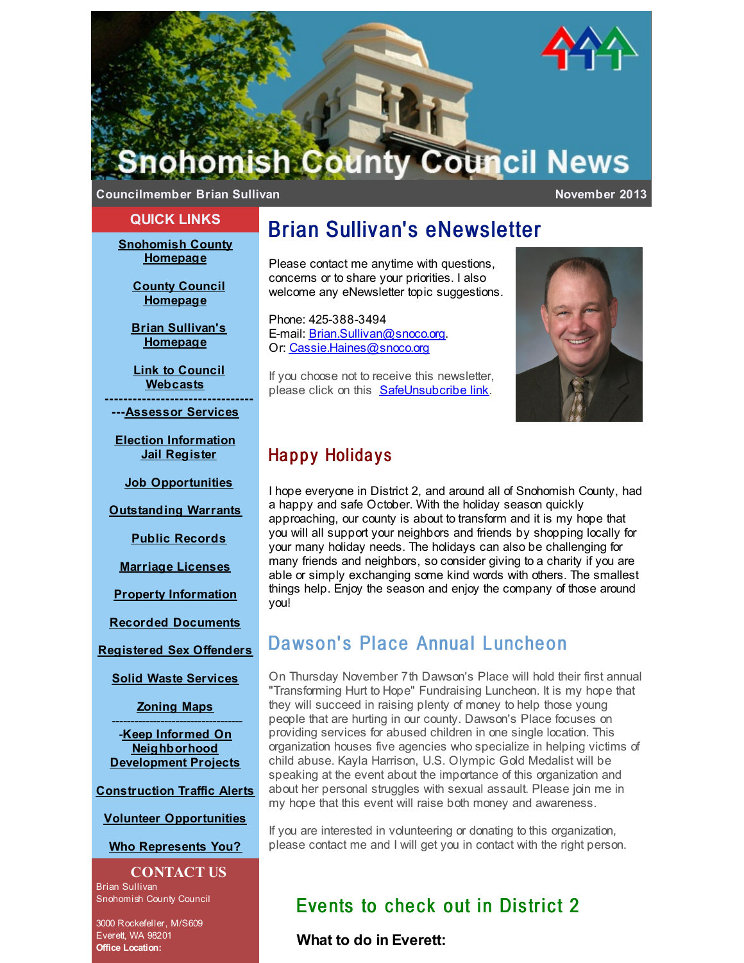

**Councilmember Brian Sullivan November 2013**

#### **QUICK LINKS**

**[Snohomish](http://r20.rs6.net/tn.jsp?f=0015446uL56JkPYcW-sXYemNEA0DP7pTONc_vMx8x2GV_FEjA4HkwRjPmUJv5M5qjYem6K7oYqoXwrV8MXwxK5yZIO8rG4XAa9suy2IH-t3hQLj-zuXlVu0usgUGsj3eqvJfz_ZfK0kpVeHXE1aLEv___CQvvDpVPYDT9T7EiF4kmwRsCut0Xp8bA==&c=&ch=) County Homepage**

> **County Council [Homepage](http://r20.rs6.net/tn.jsp?f=0015446uL56JkPYcW-sXYemNEA0DP7pTONc_vMx8x2GV_FEjA4HkwRjPmUJv5M5qjYeqUlxW3MpwBxUbKIzhV122sII09AaQTsB3nvdZi-Jd5MqePN7UxNnJ73WHqnFlAEVe2bEdx1Kn7f-RlXQ1R8bMf8VGdSm1ouctd4qIVMIoHJ_BPD-NzUhR2Lcm_ox3-OSgQ-45UckvBX2GuqeoE6fPQ==&c=&ch=)**

**Brian Sullivan's [Homepage](http://r20.rs6.net/tn.jsp?f=0015446uL56JkPYcW-sXYemNEA0DP7pTONc_vMx8x2GV_FEjA4HkwRjPnZ9kGxy2zXRnmfcnAGE63ChAgYiht2v9JFd4yfcd3iR5JV9wQ3DHuodYvSbiLACDtnoX9U1dfBoJf-IAEMkjOfxXpfoxU3-8jJi9dKhPFzmA-REjETPEwVxlG6B3nzRD3AhO0uv3xJmesgw7MaO2nZifmJxjDgh7kelhO5wTTaq8vJjBwmsYpzw5d8IVURrczEVcJrcTMGzL9XvcyRtUnI=&c=&ch=)**

**Link to Council [Webcasts](http://r20.rs6.net/tn.jsp?f=0015446uL56JkPYcW-sXYemNEA0DP7pTONc_vMx8x2GV_FEjA4HkwRjPmUJv5M5qjYeHx-shZVQrzRRb8w2daavBwo2hpeCPcfWAggQssTm2KgVgZdBu3w4_O0cIsWAFJEFsizhmS4hLR-iQDYVUKg4zQGasAYzZqPpFYR9bJOD6VVzGYvihLkXjK7JTnXf9DKDoKuA-HCK4azB9lQb7m0bTHv1JOvLGnAQ&c=&ch=) --------------------------------**

**---[Assessor](http://r20.rs6.net/tn.jsp?f=0015446uL56JkPYcW-sXYemNEA0DP7pTONc_vMx8x2GV_FEjA4HkwRjPnZ9kGxy2zXR18A8AW1tSFrwRB2xgvhqR4vzrUonIWjTwlpJmFtFFp4KslWu_oUHjjNJZD6nJcfNybuaE_MHboxEdVwsuu3zj4kxUoMC236vc3YNqnu4-i5VHBrFrGrWUg==&c=&ch=) Services**

**Election [Information](http://r20.rs6.net/tn.jsp?f=0015446uL56JkPYcW-sXYemNEA0DP7pTONc_vMx8x2GV_FEjA4HkwRjPmUJv5M5qjYe-RFUQw1NNjlecIOMppb4xp68AIWb7e5LSF7l6e3GDJu7IzkVFpnZH_IrertIflgnJ_HRs1cPmbGv_NtAHYjdkdZnDFfxjP1qyBME3Heu5bPPUkZopfegBCaRsChFXWSmF6C__49PQ618Aw5X_tlUUvNWEG5mHf3BefxEJpQEeXu6TlpS7hBXwUZ-S1lSWLvE&c=&ch=) Jail [Register](http://r20.rs6.net/tn.jsp?f=0015446uL56JkPYcW-sXYemNEA0DP7pTONc_vMx8x2GV_FEjA4HkwRjPmUJv5M5qjYeF04hoSyUrf6XjYSH7Obe7LKEIVawTVL1TYVmnKOBt3lErs5DzUK-iQdT2wJu9FQZyc_c4dSLWQtQYvMvj4U4XQ4-k3dQxl9w08F47K1-Tu_75jzJEuGD8O2Tzz8c22jy2oeM0fPZTQGDniJHcRQ9jyOAIvTsP5qrwxn0mM_fcRub_1gWGWfYW230rTewBX4_&c=&ch=)**

**Job [Opportunities](http://r20.rs6.net/tn.jsp?f=0015446uL56JkPYcW-sXYemNEA0DP7pTONc_vMx8x2GV_FEjA4HkwRjPmUJv5M5qjYe7V897MQpqi4yAb2IVhedSpG7SO2AaZUFtY9k7pRZ70c6trx58rFRtvZpE0JwiVbszfukTuLrB69v0VXXQaUtvwS6ELpzXBupZNCUnTLm1ai7UP3zsMgfQQlPbPIwxpHodfUaRuZapW04zS6LWvKOlvBYGeC7zdJHA3uv08abuK9e7OWrI6a4apsUPBuxxdHR&c=&ch=)**

**[Outstanding](http://r20.rs6.net/tn.jsp?f=0015446uL56JkPYcW-sXYemNEA0DP7pTONc_vMx8x2GV_FEjA4HkwRjPmUJv5M5qjYesi_3kO7xNdvgkBBCOg3OBuCZeIcxaPtL9CYRF6V5UFYD48h761l6Qy1SjGzNvxXRYiIqxjVJtOetl8MpVHO0o5QXoVbYpCkBLbr21nC3Y8wzaKHVVRGTSHIdKZh1qfU_11kn--8xjDQ9nELgffvoG4H8Aa6x2cezTK7F2XinGxs=&c=&ch=) Warrants**

**Public [Records](http://r20.rs6.net/tn.jsp?f=0015446uL56JkPYcW-sXYemNEA0DP7pTONc_vMx8x2GV_FEjA4HkwRjPmUJv5M5qjYeaKlWVNT9rnEf5sOOxmZqx40_vqpnPgbbx2k19-u18n70izC3iKhgD8D9ZDHpSVWcdpfr4ar_U-7H-Nw_a1LhNUNbWuiXOYaq8OitqSoYfzwm-pznRkIP4ull_zr7Nzp2SNWm73d3qTlP9HGDwIrhdoVptK7bIWx3q4O-p6fktK8=&c=&ch=)**

**[Marriage](http://r20.rs6.net/tn.jsp?f=0015446uL56JkPYcW-sXYemNEA0DP7pTONc_vMx8x2GV_FEjA4HkwRjPmUJv5M5qjYevwZ_N149b4qZJp6kXUiChe_kRBrUHagtbWN70piRxYzhBXz8-YERO67YyCoaYFfdVRg39D54VlV5aqIGKh0SvpIbcYut_hCNrXdNJ40clOnvvg1KFJ4AraO9BcD7D8vfC8UXVVJWYBiIA_kKmfeLmg6ArBjeLt959v6Ygy638pJ7cLAL8Y7VWgNIZLXfhSfBFG3DbOT_OTg=&c=&ch=) Licenses**

**Property [Information](http://r20.rs6.net/tn.jsp?f=0015446uL56JkPYcW-sXYemNEA0DP7pTONc_vMx8x2GV_FEjA4HkwRjPmUJv5M5qjYeN8RO7u6mO_H77R0teYYwge8rINB_gg3mnoe0HCsnvAnsIJgQ5dhQ9pc7ReUnEv4QpXyqsSfrXbCx0_lkXgpaGQiExnVd1e7gS-yk-hT0vMCP68kmh6Gw7Vb3M5oMkp-kf634WYK6T-b1mnbIJCzlf9RPoHaqQ6TZXKIHDpMr-Ti0ZhkbviNQNg==&c=&ch=)**

**Recorded [Documents](http://r20.rs6.net/tn.jsp?f=0015446uL56JkPYcW-sXYemNEA0DP7pTONc_vMx8x2GV_FEjA4HkwRjPmUJv5M5qjYeXErM0qrX_NOxRYda9mtqmSM2IpMOIF1Z_Jyh2v1ewR_GgsVvDVA-cUgw2Ug5eIWsheq3hQfGAZ9UMIcJe83Byl6Jy1VF8MOxOxnKa2INOyF9d4vkzYqKn1kirMAhNG_Tr-hAJzGOBjtqHuH6c4I0v7XnpvsBA4jRLj1zjiTUWpfFPhaHFhNW9Q==&c=&ch=)**

**[Registered](http://r20.rs6.net/tn.jsp?f=0015446uL56JkPYcW-sXYemNEA0DP7pTONc_vMx8x2GV_FEjA4HkwRjPnZ9kGxy2zXRqsDw_Z0K_W7cuWtBqti7fsCfNRnpqgC53JDikuQMh3i0W5Sq5mGOqrF0XyN1psHvfqF2ZxkxjBPwiVmWFYQ6NDwobkZoX72s1pAyObgxypUVXE8vlgUzUvNM1oBgjXRfazprMsPwYXRNHMorDTVITHOzFzmfGA5d&c=&ch=) Sex Offenders**

**Solid Waste [Services](http://r20.rs6.net/tn.jsp?f=0015446uL56JkPYcW-sXYemNEA0DP7pTONc_vMx8x2GV_FEjA4HkwRjPmUJv5M5qjYeJbdaaUkSE3KZp2qYfdkGMHQOMkwy_EszllMyboXx6yFZhf5y_5IzRiXETVTcjWYe9wt2WSd9a-4uizAvSNBfZhO8Fr-2qaH1I-KtenyJUYrIoT57G2e7YoUUPSgAc7Cwun4Oh6YBk55WSKToDw7W0FygzkDTZPLHkUosoAL4op02w_aOG6r87wFD7K3QYzHa7s0ZSDtVCJw=&c=&ch=)**

**[Zoning](http://r20.rs6.net/tn.jsp?f=0015446uL56JkPYcW-sXYemNEA0DP7pTONc_vMx8x2GV_FEjA4HkwRjPnZ9kGxy2zXROHRUDI_cROahz-aRR85GhT3KK-WvV-iFR7qMQyPWTu2Xlvsb2ij99CI5j5helb8dftZMpNat1qzcveOog7TeevaCPe7aBS2DcBHThAG-TFON_Ng1YD5DcKjbKJ1SxJLayJPqgQ1XayU=&c=&ch=) Maps** -----------------------------------

-**Keep Informed On [Neighborhood](http://r20.rs6.net/tn.jsp?f=0015446uL56JkPYcW-sXYemNEA0DP7pTONc_vMx8x2GV_FEjA4HkwRjPmUJv5M5qjYe608z8qWgTxcb7ULcsENaW2NAhcBFN6L24kLLjXIU_LactFMcq4jkRDlIPzy7GfboqbH4tW_RUpOcfQ51iLbUS0QOqeo9ZdSA7hZTlOUu_tjSRbRR07NDdLu62RVDyuk-FW-Vky-3987uloswEdVW3GSS7c1aK3nsB9UTT9As5D-wsoJlJeAa96LKAWsi2wQ1LwuYZ6sMlBg=&c=&ch=) Development Projects**

**[Construction](http://r20.rs6.net/tn.jsp?f=0015446uL56JkPYcW-sXYemNEA0DP7pTONc_vMx8x2GV_FEjA4HkwRjPmUJv5M5qjYepgQs-Hnn1N_w3bE8lUxp7tR4kEr5WmHwppSaDerUu81fB9p4hwWhtxqgUIWiUoETAnQ00x-yjONM9eODGA0ZaBxw2_30zfV5G51V2JUtpFiWh86nFTofyxwH8ts82OGdyJeID77ucgi4Vl_lPBUnWngZNP0-mol9G4jCvMM3qF9TBj9BzCfpnA==&c=&ch=) Traffic Alerts**

**Volunteer [Opportunities](http://r20.rs6.net/tn.jsp?f=0015446uL56JkPYcW-sXYemNEA0DP7pTONc_vMx8x2GV_FEjA4HkwRjPmUJv5M5qjYemnn2BXzHEJ5S0QWx6tAEeozEU3dRBJUYHWNASxvLNs1GPjbjsYU-SO2Z--7gIcxC1nFgN6eHtW3pWuVPrEQQHLgMk7sRdw7bCsVsdGCXuhJg0YHXLg8-jst8tCkazjhm5M56gud_xYvxDJyR_MC-bvBgYJLgry11&c=&ch=)**

**Who [Represents](http://r20.rs6.net/tn.jsp?f=0015446uL56JkPYcW-sXYemNEA0DP7pTONc_vMx8x2GV_FEjA4HkwRjPmUJv5M5qjYeKmLt03qak0M5lXb-aXR7fyh-quAF7usGWyYI5Fa_R0jEjAqqQ0t-PuH23gJyOMF_b5bbrtPVls6w_fSazmRosCexR9f44Mq61Kx6nvKwfrhy0t2YHFC76GNHboRTl675q24LkjePcjV70F6TCZgM1jugda7y91vLmxoPh-uHRr51yxSFNjoAm5Zsp5frSNuq&c=&ch=) You?**

**CONTACT US** Brian Sullivan Snohomish County Council

3000 Rockefeller, M/S609 Everett, WA 98201 **Office Location:**

# Brian Sullivan's eNewsletter

Please contact me anytime with questions, concerns or to share your priorities. I also welcome any eNewsletter topic suggestions.

Phone: 425-388-3494 E-mail: [Brian.Sullivan@snoco.org](mailto:Brian.Sullivan@snoco.org). Or: [Cassie.Haines@snoco.org](mailto:Cassie.Haines@snoco.org)

If you choose not to receive this newsletter, please click on this [SafeUnsubcribe](http://visitor.constantcontact.com/optout.jsp?v=001FFspMhSEL8vvIiSDV7hYr-C8RFZCTkp0euXK5J-HjSy_DnPXEjMC14RbZE6s09wbrwttN2dgtXxSsEJu371GadQH75jfrv12pHKi_tx3n8UQy-A2Vb7Mt8izAK9QS0A_) link.



### Happy Holidays

I hope everyone in District 2, and around all of Snohomish County, had a happy and safe October. With the holiday season quickly approaching, our county is about to transform and it is my hope that you will all support your neighbors and friends by shopping locally for your many holiday needs. The holidays can also be challenging for many friends and neighbors, so consider giving to a charity if you are able or simply exchanging some kind words with others. The smallest things help. Enjoy the season and enjoy the company of those around you!

### Dawson's Place Annual Luncheon

On Thursday November 7th Dawson's Place will hold their first annual "Transforming Hurt to Hope" Fundraising Luncheon. It is my hope that they will succeed in raising plenty of money to help those young people that are hurting in our county. Dawson's Place focuses on providing services for abused children in one single location. This organization houses five agencies who specialize in helping victims of child abuse. Kayla Harrison, U.S. Olympic Gold Medalist will be speaking at the event about the importance of this organization and about her personal struggles with sexual assault. Please join me in my hope that this event will raise both money and awareness.

If you are interested in volunteering or donating to this organization, please contact me and I will get you in contact with the right person.

## Events to check out in District 2

**What to do in Everett:**